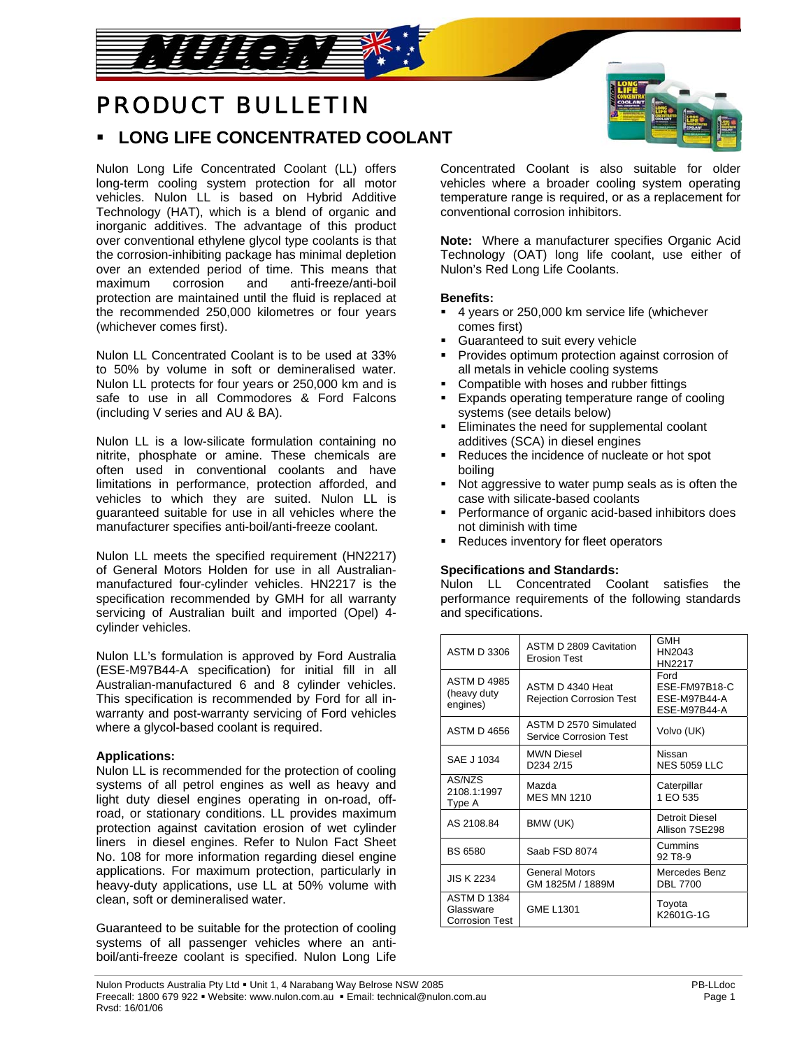# PRODUCT BULLETIN

والمستعمل المحافي فالمحانح

# **LONG LIFE CONCENTRATED COOLANT**

Nulon Long Life Concentrated Coolant (LL) offers long-term cooling system protection for all motor vehicles. Nulon LL is based on Hybrid Additive Technology (HAT), which is a blend of organic and inorganic additives. The advantage of this product over conventional ethylene glycol type coolants is that the corrosion-inhibiting package has minimal depletion over an extended period of time. This means that maximum corrosion and anti-freeze/anti-boil protection are maintained until the fluid is replaced at the recommended 250,000 kilometres or four years (whichever comes first).

Nulon LL Concentrated Coolant is to be used at 33% to 50% by volume in soft or demineralised water. Nulon LL protects for four years or 250,000 km and is safe to use in all Commodores & Ford Falcons (including V series and AU & BA).

Nulon LL is a low-silicate formulation containing no nitrite, phosphate or amine. These chemicals are often used in conventional coolants and have limitations in performance, protection afforded, and vehicles to which they are suited. Nulon LL is guaranteed suitable for use in all vehicles where the manufacturer specifies anti-boil/anti-freeze coolant.

Nulon LL meets the specified requirement (HN2217) of General Motors Holden for use in all Australianmanufactured four-cylinder vehicles. HN2217 is the specification recommended by GMH for all warranty servicing of Australian built and imported (Opel) 4 cylinder vehicles.

Nulon LL's formulation is approved by Ford Australia (ESE-M97B44-A specification) for initial fill in all Australian-manufactured 6 and 8 cylinder vehicles. This specification is recommended by Ford for all inwarranty and post-warranty servicing of Ford vehicles where a glycol-based coolant is required.

# **Applications:**

Nulon LL is recommended for the protection of cooling systems of all petrol engines as well as heavy and light duty diesel engines operating in on-road, offroad, or stationary conditions. LL provides maximum protection against cavitation erosion of wet cylinder liners in diesel engines. Refer to Nulon Fact Sheet No. 108 for more information regarding diesel engine applications. For maximum protection, particularly in heavy-duty applications, use LL at 50% volume with clean, soft or demineralised water.

Guaranteed to be suitable for the protection of cooling systems of all passenger vehicles where an antiboil/anti-freeze coolant is specified. Nulon Long Life Concentrated Coolant is also suitable for older vehicles where a broader cooling system operating temperature range is required, or as a replacement for conventional corrosion inhibitors.

**Note:** Where a manufacturer specifies Organic Acid Technology (OAT) long life coolant, use either of Nulon's Red Long Life Coolants.

# **Benefits:**

- 4 years or 250,000 km service life (whichever comes first)
- Guaranteed to suit every vehicle
- Provides optimum protection against corrosion of all metals in vehicle cooling systems
- Compatible with hoses and rubber fittings
- **Expands operating temperature range of cooling** systems (see details below)
- Eliminates the need for supplemental coolant additives (SCA) in diesel engines
- Reduces the incidence of nucleate or hot spot boiling
- Not aggressive to water pump seals as is often the case with silicate-based coolants
- Performance of organic acid-based inhibitors does not diminish with time
- Reduces inventory for fleet operators

#### **Specifications and Standards:**

Nulon LL Concentrated Coolant satisfies the performance requirements of the following standards and specifications.

| <b>ASTM D 3306</b>                                       | ASTM D 2809 Cavitation<br><b>Erosion Test</b>          | GMH<br>HN2043<br>HN2217                               |
|----------------------------------------------------------|--------------------------------------------------------|-------------------------------------------------------|
| <b>ASTM D 4985</b><br>(heavy duty<br>engines)            | ASTM D 4340 Heat<br><b>Rejection Corrosion Test</b>    | Ford<br>ESE-FM97B18-C<br>ESE-M97B44-A<br>ESE-M97B44-A |
| <b>ASTM D 4656</b>                                       | ASTM D 2570 Simulated<br><b>Service Corrosion Test</b> | Volvo (UK)                                            |
| SAE J 1034                                               | <b>MWN Diesel</b><br>D <sub>234</sub> 2/15             | Nissan<br><b>NES 5059 LLC</b>                         |
| AS/NZS<br>2108.1:1997<br>Type A                          | Mazda<br><b>MES MN 1210</b>                            | Caterpillar<br>1 EO 535                               |
| AS 2108.84                                               | BMW (UK)                                               | Detroit Diesel<br>Allison 7SE298                      |
| <b>BS 6580</b>                                           | Saab FSD 8074                                          | Cummins<br>92 T8-9                                    |
| <b>JIS K 2234</b>                                        | <b>General Motors</b><br>GM 1825M / 1889M              | Mercedes Benz<br><b>DBL 7700</b>                      |
| <b>ASTM D 1384</b><br>Glassware<br><b>Corrosion Test</b> | <b>GME L1301</b>                                       | Toyota<br>K2601G-1G                                   |

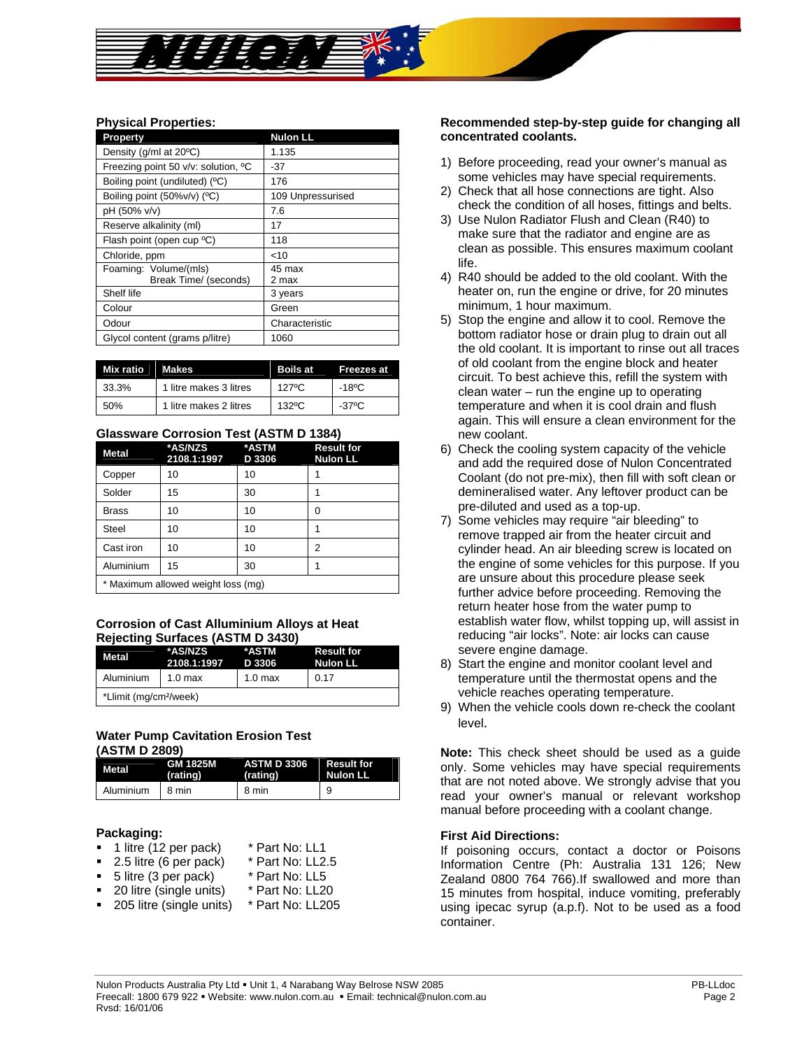# **Physical Properties:**

| <b>Property</b>                     | <b>Nulon LL</b>   |
|-------------------------------------|-------------------|
| Density (g/ml at 20°C)              | 1.135             |
| Freezing point 50 v/v: solution, °C | -37               |
| Boiling point (undiluted) (°C)      | 176               |
| Boiling point (50%v/v) (°C)         | 109 Unpressurised |
| pH (50% v/v)                        | 7.6               |
| Reserve alkalinity (ml)             | 17                |
| Flash point (open cup °C)           | 118               |
| Chloride, ppm                       | $<$ 10            |
| Foaming: Volume/(mls)               | 45 max            |
| Break Time/ (seconds)               | 2 max             |
| Shelf life                          | 3 years           |
| Colour                              | Green             |
| Odour                               | Characteristic    |
| Glycol content (grams p/litre)      | 1060              |

| Mix ratio | <b>Makes</b>           | <b>Boils at</b> | <b>Freezes at</b> |
|-----------|------------------------|-----------------|-------------------|
| 33.3%     | 1 litre makes 3 litres | 1270C           | -18ºC             |
| 50%       | 1 litre makes 2 litres | $132$ °C        | -37°C             |

#### **Glassware Corrosion Test (ASTM D 1384)**

| <b>Metal</b>                       | *AS/NZS<br>2108.1:1997 | *ASTM<br>D 3306 | <b>Result for</b><br><b>Nulon LL</b> |
|------------------------------------|------------------------|-----------------|--------------------------------------|
| Copper                             | 10                     | 10              |                                      |
| Solder                             | 15                     | 30              |                                      |
| <b>Brass</b>                       | 10                     | 10              | ი                                    |
| <b>Steel</b>                       | 10                     | 10              |                                      |
| Cast iron                          | 10                     | 10              | 2                                    |
| Aluminium                          | 15                     | 30              |                                      |
| * Maximum allowed weight loss (mg) |                        |                 |                                      |

#### **Corrosion of Cast Alluminium Alloys at Heat Rejecting Surfaces (ASTM D 3430)**

| <b>Metal</b>                       | *AS/NZS<br>2108.1:1997 | *ASTM<br>D 3306    | <b>Result for</b><br><b>Nulon LL</b> |
|------------------------------------|------------------------|--------------------|--------------------------------------|
| Aluminium                          | 1.0 <sub>max</sub>     | 1.0 <sub>max</sub> | 0.17                                 |
| *Llimit (mg/cm <sup>2</sup> /week) |                        |                    |                                      |

# **Water Pump Cavitation Erosion Test (ASTM D 2809)**

| Metal     | <b>GM 1825M</b><br>(rating) | ASTM D 3306 Result for<br>(rating) | Nulon LL |
|-----------|-----------------------------|------------------------------------|----------|
| Aluminium | 18 min                      | 8 min                              | 9        |

#### **Packaging:**

- **1** litre (12 per pack) \* Part No: LL1
- 2.5 litre (6 per pack) \* Part No: LL2.5<br>5 litre (3 per pack) \* Part No: LL5
- $\blacksquare$  5 litre (3 per pack)
- 20 litre (single units) \* Part No: LL20
- 205 litre (single units) \* Part No: LL205

#### **Recommended step-by-step guide for changing all concentrated coolants.**

- 1) Before proceeding, read your owner's manual as some vehicles may have special requirements.
- 2) Check that all hose connections are tight. Also check the condition of all hoses, fittings and belts.
- 3) Use Nulon Radiator Flush and Clean (R40) to make sure that the radiator and engine are as clean as possible. This ensures maximum coolant life.
- 4) R40 should be added to the old coolant. With the heater on, run the engine or drive, for 20 minutes minimum, 1 hour maximum.
- 5) Stop the engine and allow it to cool. Remove the bottom radiator hose or drain plug to drain out all the old coolant. It is important to rinse out all traces of old coolant from the engine block and heater circuit. To best achieve this, refill the system with clean water – run the engine up to operating temperature and when it is cool drain and flush again. This will ensure a clean environment for the new coolant.
- 6) Check the cooling system capacity of the vehicle and add the required dose of Nulon Concentrated Coolant (do not pre-mix), then fill with soft clean or demineralised water. Any leftover product can be pre-diluted and used as a top-up.
- 7) Some vehicles may require "air bleeding" to remove trapped air from the heater circuit and cylinder head. An air bleeding screw is located on the engine of some vehicles for this purpose. If you are unsure about this procedure please seek further advice before proceeding. Removing the return heater hose from the water pump to establish water flow, whilst topping up, will assist in reducing "air locks". Note: air locks can cause severe engine damage.
- 8) Start the engine and monitor coolant level and temperature until the thermostat opens and the vehicle reaches operating temperature.
- 9) When the vehicle cools down re-check the coolant level.

**Note:** This check sheet should be used as a guide only. Some vehicles may have special requirements that are not noted above. We strongly advise that you read your owner's manual or relevant workshop manual before proceeding with a coolant change.

#### **First Aid Directions:**

If poisoning occurs, contact a doctor or Poisons Information Centre (Ph: Australia 131 126; New Zealand 0800 764 766).If swallowed and more than 15 minutes from hospital, induce vomiting, preferably using ipecac syrup (a.p.f). Not to be used as a food container.